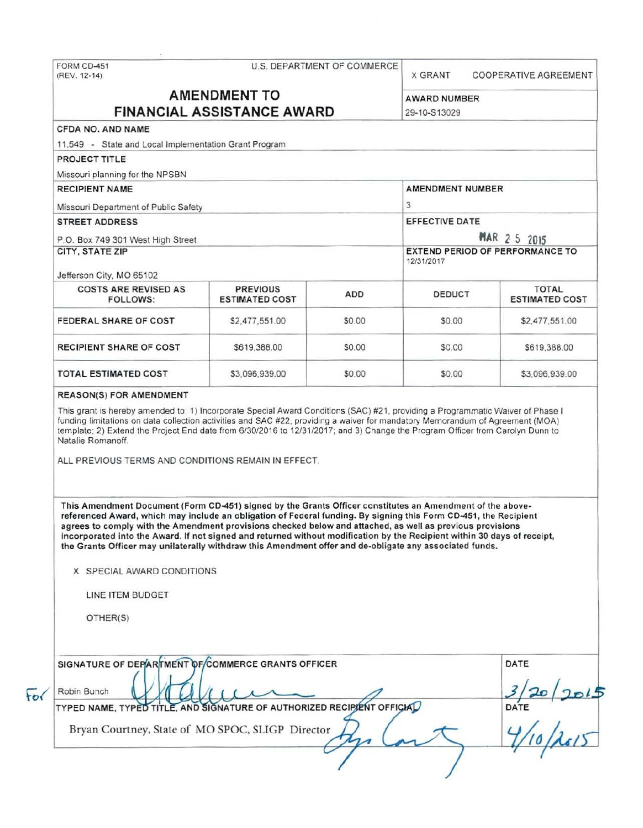| FORM CD-451<br>(REV. 12-14)                                                                                                                                                                                                                                                                                                                                                                                                                                                                                                                                                                                                                     |                                          | U.S. DEPARTMENT OF COMMERCE | <b>X GRANT</b>                                                | COOPERATIVE AGREEMENT                 |  |
|-------------------------------------------------------------------------------------------------------------------------------------------------------------------------------------------------------------------------------------------------------------------------------------------------------------------------------------------------------------------------------------------------------------------------------------------------------------------------------------------------------------------------------------------------------------------------------------------------------------------------------------------------|------------------------------------------|-----------------------------|---------------------------------------------------------------|---------------------------------------|--|
| <b>AMENDMENT TO</b><br><b>FINANCIAL ASSISTANCE AWARD</b>                                                                                                                                                                                                                                                                                                                                                                                                                                                                                                                                                                                        |                                          |                             |                                                               |                                       |  |
|                                                                                                                                                                                                                                                                                                                                                                                                                                                                                                                                                                                                                                                 |                                          |                             | <b>AWARD NUMBER</b>                                           |                                       |  |
|                                                                                                                                                                                                                                                                                                                                                                                                                                                                                                                                                                                                                                                 |                                          |                             | 29-10-S13029                                                  |                                       |  |
| CFDA NO. AND NAME                                                                                                                                                                                                                                                                                                                                                                                                                                                                                                                                                                                                                               |                                          |                             |                                                               |                                       |  |
| 11.549 - State and Local Implementation Grant Program                                                                                                                                                                                                                                                                                                                                                                                                                                                                                                                                                                                           |                                          |                             |                                                               |                                       |  |
| <b>PROJECT TITLE</b>                                                                                                                                                                                                                                                                                                                                                                                                                                                                                                                                                                                                                            |                                          |                             |                                                               |                                       |  |
| Missouri planning for the NPSBN                                                                                                                                                                                                                                                                                                                                                                                                                                                                                                                                                                                                                 |                                          |                             | AMENDMENT NUMBER                                              |                                       |  |
| <b>RECIPIENT NAME</b>                                                                                                                                                                                                                                                                                                                                                                                                                                                                                                                                                                                                                           |                                          |                             | 3                                                             |                                       |  |
| Missouri Department of Public Safety                                                                                                                                                                                                                                                                                                                                                                                                                                                                                                                                                                                                            |                                          |                             | EFFECTIVE DATE                                                |                                       |  |
| <b>STREET ADDRESS</b>                                                                                                                                                                                                                                                                                                                                                                                                                                                                                                                                                                                                                           |                                          |                             |                                                               |                                       |  |
| P.O. Box 749 301 West High Street                                                                                                                                                                                                                                                                                                                                                                                                                                                                                                                                                                                                               |                                          |                             | <b>MAR 2 5 2015</b><br><b>EXTEND PERIOD OF PERFORMANCE TO</b> |                                       |  |
| CITY, STATE ZIP<br>Jefferson City, MO 65102                                                                                                                                                                                                                                                                                                                                                                                                                                                                                                                                                                                                     |                                          |                             | 12/31/2017                                                    |                                       |  |
| <b>COSTS ARE REVISED AS</b><br>FOLLOWS:                                                                                                                                                                                                                                                                                                                                                                                                                                                                                                                                                                                                         | <b>PREVIOUS</b><br><b>ESTIMATED COST</b> | ADD                         | <b>DEDUCT</b>                                                 | <b>TOTAL</b><br><b>ESTIMATED COST</b> |  |
| <b>FEDERAL SHARE OF COST</b>                                                                                                                                                                                                                                                                                                                                                                                                                                                                                                                                                                                                                    | \$2,477,551.00                           | \$0.00                      | \$0.00                                                        | \$2,477,551.00                        |  |
| <b>RECIPIENT SHARE OF COST</b>                                                                                                                                                                                                                                                                                                                                                                                                                                                                                                                                                                                                                  | \$619,388.00                             | \$0.00                      | \$0.00                                                        | \$619,388.00                          |  |
|                                                                                                                                                                                                                                                                                                                                                                                                                                                                                                                                                                                                                                                 | \$3,096,939.00                           | \$0.00                      | \$0.00                                                        | \$3,096,939.00                        |  |
| <b>TOTAL ESTIMATED COST</b><br><b>REASON(S) FOR AMENDMENT</b><br>This grant is hereby amended to: 1) Incorporate Special Award Conditions (SAC) #21, providing a Programmatic Waiver of Phase I<br>funding limitations on data collection activities and SAC #22, providing a waiver for mandatory Memorandum of Agreement (MOA)<br>template; 2) Extend the Project End date from 6/30/2016 to 12/31/2017; and 3) Change the Program Officer from Carolyn Dunn to<br>Natalie Romanoff.                                                                                                                                                          |                                          |                             |                                                               |                                       |  |
| ALL PREVIOUS TERMS AND CONDITIONS REMAIN IN EFFECT.                                                                                                                                                                                                                                                                                                                                                                                                                                                                                                                                                                                             |                                          |                             |                                                               |                                       |  |
| This Amendment Document (Form CD-451) signed by the Grants Officer constitutes an Amendment of the above-<br>referenced Award, which may include an obligation of Federal funding. By signing this Form CD-451, the Recipient<br>agrees to comply with the Amendment provisions checked below and attached, as well as previous provisions<br>incorporated into the Award. If not signed and returned without modification by the Recipient within 30 days of receipt,<br>the Grants Officer may unilaterally withdraw this Amendment offer and de-obligate any associated funds.<br>X SPECIAL AWARD CONDITIONS<br>LINE ITEM BUDGET<br>OTHER(S) |                                          |                             |                                                               |                                       |  |